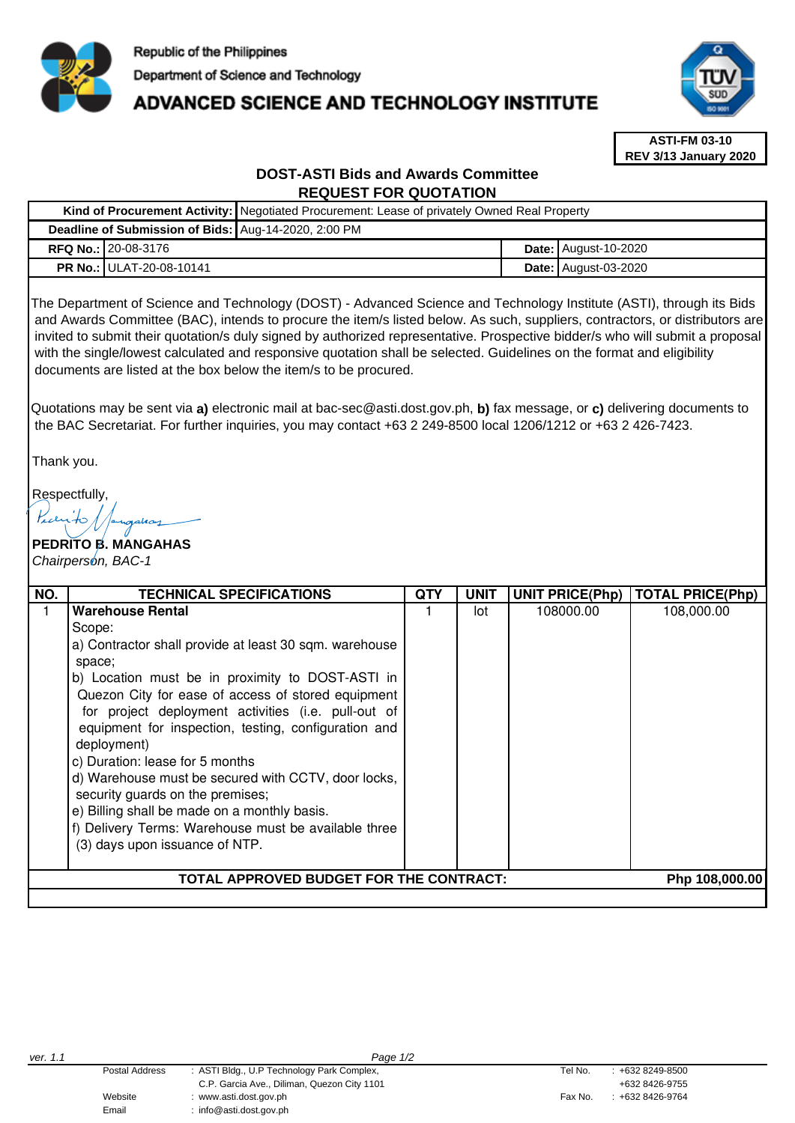

# **ADVANCED SCIENCE AND TECHNOLOGY INSTITUTE**



**ASTI-FM 03-10 REV 3/13 January 2020**

## **DOST-ASTI Bids and Awards Committee REQUEST FOR QUOTATION**

|                                                      |                                 | Kind of Procurement Activity: Negotiated Procurement: Lease of privately Owned Real Property |  |                               |  |  |
|------------------------------------------------------|---------------------------------|----------------------------------------------------------------------------------------------|--|-------------------------------|--|--|
| Deadline of Submission of Bids: Aug-14-2020, 2:00 PM |                                 |                                                                                              |  |                               |  |  |
|                                                      | <b>RFQ No.: 20-08-3176</b>      |                                                                                              |  | <b>Date:   August-10-2020</b> |  |  |
|                                                      | <b>PR No.: ULAT-20-08-10141</b> |                                                                                              |  | <b>Date:   August-03-2020</b> |  |  |

The Department of Science and Technology (DOST) - Advanced Science and Technology Institute (ASTI), through its Bids and Awards Committee (BAC), intends to procure the item/s listed below. As such, suppliers, contractors, or distributors are invited to submit their quotation/s duly signed by authorized representative. Prospective bidder/s who will submit a proposal with the single/lowest calculated and responsive quotation shall be selected. Guidelines on the format and eligibility documents are listed at the box below the item/s to be procured.

Quotations may be sent via **a)** electronic mail at bac-sec@asti.dost.gov.ph, **b)** fax message, or **c)** delivering documents to the BAC Secretariat. For further inquiries, you may contact +63 2 249-8500 local 1206/1212 or +63 2 426-7423.

Thank you.

Respectfully,

## **PEDRITO B. MANGAHAS**  Chairperson, BAC-1

| NO.                                                       | <b>TECHNICAL SPECIFICATIONS</b>                        | QTY | <b>UNIT</b> |           | UNIT PRICE(Php)   TOTAL PRICE(Php) |  |
|-----------------------------------------------------------|--------------------------------------------------------|-----|-------------|-----------|------------------------------------|--|
|                                                           | <b>Warehouse Rental</b>                                |     | lot         | 108000.00 | 108,000.00                         |  |
|                                                           | Scope:                                                 |     |             |           |                                    |  |
|                                                           | a) Contractor shall provide at least 30 sqm. warehouse |     |             |           |                                    |  |
|                                                           | space;                                                 |     |             |           |                                    |  |
|                                                           | b) Location must be in proximity to DOST-ASTI in       |     |             |           |                                    |  |
|                                                           | Quezon City for ease of access of stored equipment     |     |             |           |                                    |  |
|                                                           | for project deployment activities (i.e. pull-out of    |     |             |           |                                    |  |
|                                                           | equipment for inspection, testing, configuration and   |     |             |           |                                    |  |
|                                                           | deployment)                                            |     |             |           |                                    |  |
|                                                           | c) Duration: lease for 5 months                        |     |             |           |                                    |  |
|                                                           | d) Warehouse must be secured with CCTV, door locks,    |     |             |           |                                    |  |
|                                                           | security guards on the premises;                       |     |             |           |                                    |  |
|                                                           | e) Billing shall be made on a monthly basis.           |     |             |           |                                    |  |
|                                                           | f) Delivery Terms: Warehouse must be available three   |     |             |           |                                    |  |
|                                                           | (3) days upon issuance of NTP.                         |     |             |           |                                    |  |
|                                                           |                                                        |     |             |           |                                    |  |
| TOTAL APPROVED BUDGET FOR THE CONTRACT:<br>Php 108,000.00 |                                                        |     |             |           |                                    |  |